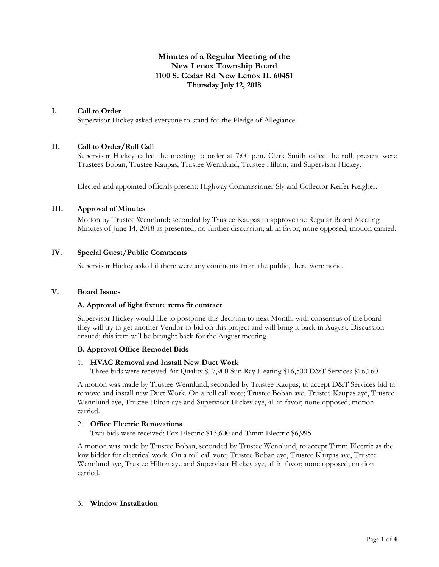# **Minutes of a Regular Meeting of the New Lenox Township Board 1100 S. Cedar Rd New Lenox IL 60451 Thursday July 12, 2018**

#### **I. Call to Order**

Supervisor Hickey asked everyone to stand for the Pledge of Allegiance.

#### **II. Call to Order/Roll Call**

Supervisor Hickey called the meeting to order at 7:00 p.m. Clerk Smith called the roll; present were Trustees Boban, Trustee Kaupas, Trustee Wennlund, Trustee Hilton, and Supervisor Hickey.

Elected and appointed officials present: Highway Commissioner Sly and Collector Keifer Keigher.

# **III. Approval of Minutes**

Motion by Trustee Wennlund; seconded by Trustee Kaupas to approve the Regular Board Meeting Minutes of June 14, 2018 as presented; no further discussion; all in favor; none opposed; motion carried.

### **IV. Special Guest/Public Comments**

Supervisor Hickey asked if there were any comments from the public, there were none.

#### **V. Board Issues**

#### **A. Approval of light fixture retro fit contract**

Supervisor Hickey would like to postpone this decision to next Month, with consensus of the board they will try to get another Vendor to bid on this project and will bring it back in August. Discussion ensued; this item will be brought back for the August meeting.

#### **B. Approval Office Remodel Bids**

#### 1. **HVAC Removal and Install New Duct Work**

Three bids were received Air Quality \$17,900 Sun Ray Heating \$16,500 D&T Services \$16,160

A motion was made by Trustee Wennlund, seconded by Trustee Kaupas, to accept D&T Services bid to remove and install new Duct Work. On a roll call vote; Trustee Boban aye, Trustee Kaupas aye, Trustee Wennlund aye, Trustee Hilton aye and Supervisor Hickey aye, all in favor; none opposed; motion carried.

# 2. **Office Electric Renovations**

Two bids were received: Fox Electric \$13,600 and Timm Electric \$6,995

A motion was made by Trustee Boban, seconded by Trustee Wennlund, to accept Timm Electric as the low bidder for electrical work. On a roll call vote; Trustee Boban aye, Trustee Kaupas aye, Trustee Wennlund aye, Trustee Hilton aye and Supervisor Hickey aye, all in favor; none opposed; motion carried.

#### 3. **Window Installation**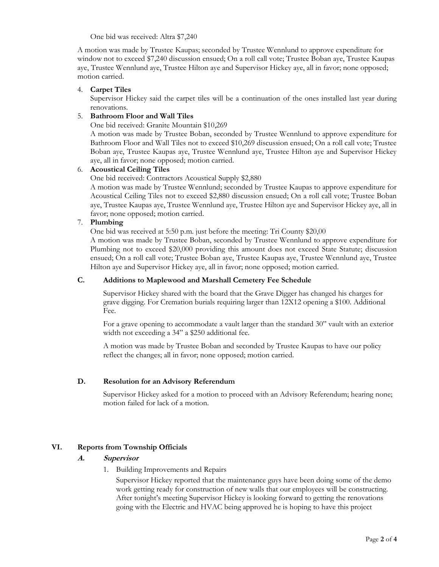One bid was received: Altra \$7,240

A motion was made by Trustee Kaupas; seconded by Trustee Wennlund to approve expenditure for window not to exceed \$7,240 discussion ensued; On a roll call vote; Trustee Boban aye, Trustee Kaupas aye, Trustee Wennlund aye, Trustee Hilton aye and Supervisor Hickey aye, all in favor; none opposed; motion carried.

### 4. **Carpet Tiles**

Supervisor Hickey said the carpet tiles will be a continuation of the ones installed last year during renovations.

# 5. **Bathroom Floor and Wall Tiles**

One bid received: Granite Mountain \$10,269

A motion was made by Trustee Boban, seconded by Trustee Wennlund to approve expenditure for Bathroom Floor and Wall Tiles not to exceed \$10,269 discussion ensued; On a roll call vote; Trustee Boban aye, Trustee Kaupas aye, Trustee Wennlund aye, Trustee Hilton aye and Supervisor Hickey aye, all in favor; none opposed; motion carried.

### 6. **Acoustical Ceiling Tiles**

One bid received: Contractors Acoustical Supply \$2,880

A motion was made by Trustee Wennlund; seconded by Trustee Kaupas to approve expenditure for Acoustical Ceiling Tiles not to exceed \$2,880 discussion ensued; On a roll call vote; Trustee Boban aye, Trustee Kaupas aye, Trustee Wennlund aye, Trustee Hilton aye and Supervisor Hickey aye, all in favor; none opposed; motion carried.

### 7. **Plumbing**

One bid was received at 5:50 p.m. just before the meeting: Tri County \$20,00

A motion was made by Trustee Boban, seconded by Trustee Wennlund to approve expenditure for Plumbing not to exceed \$20,000 providing this amount does not exceed State Statute; discussion ensued; On a roll call vote; Trustee Boban aye, Trustee Kaupas aye, Trustee Wennlund aye, Trustee Hilton aye and Supervisor Hickey aye, all in favor; none opposed; motion carried.

# **C. Additions to Maplewood and Marshall Cemetery Fee Schedule**

Supervisor Hickey shared with the board that the Grave Digger has changed his charges for grave digging. For Cremation burials requiring larger than 12X12 opening a \$100. Additional Fee.

For a grave opening to accommodate a vault larger than the standard 30" vault with an exterior width not exceeding a 34" a \$250 additional fee.

A motion was made by Trustee Boban and seconded by Trustee Kaupas to have our policy reflect the changes; all in favor; none opposed; motion carried.

### **D. Resolution for an Advisory Referendum**

Supervisor Hickey asked for a motion to proceed with an Advisory Referendum; hearing none; motion failed for lack of a motion.

### **VI. Reports from Township Officials**

### **A. Supervisor**

1. Building Improvements and Repairs

Supervisor Hickey reported that the maintenance guys have been doing some of the demo work getting ready for construction of new walls that our employees will be constructing. After tonight's meeting Supervisor Hickey is looking forward to getting the renovations going with the Electric and HVAC being approved he is hoping to have this project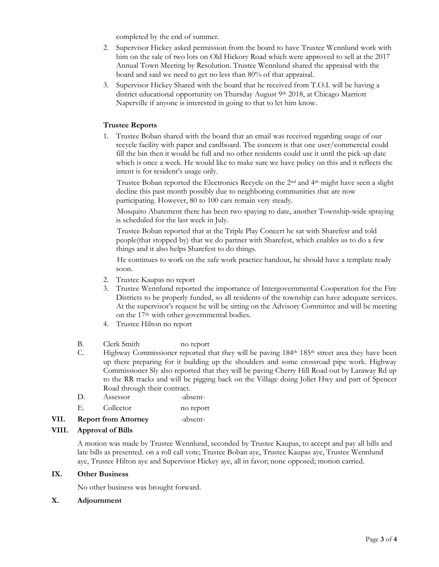completed by the end of summer.

- 2. Supervisor Hickey asked permission from the board to have Trustee Wennlund work with him on the sale of two lots on Old Hickory Road which were approved to sell at the 2017 Annual Town Meeting by Resolution. Trustee Wennlund shared the appraisal with the board and said we need to get no less than 80% of that appraisal.
- 3. Supervisor Hickey Shared with the board that he received from T.O.I. will be having a district educational opportunity on Thursday August 9<sup>th</sup> 2018, at Chicago Marriott Naperville if anyone is interested in going to that to let him know.

# **Trustee Reports**

1. Trustee Boban shared with the board that an email was received regarding usage of our recycle facility with paper and cardboard. The concern is that one user/commercial could fill the bin then it would be full and no other residents could use it until the pick-up date which is once a week. He would like to make sure we have policy on this and it reflects the intent is for resident's usage only.

Trustee Boban reported the Electronics Recycle on the 2nd and 4th might have seen a slight decline this past month possibly due to neighboring communities that are now participating. However, 80 to 100 cars remain very steady.

Mosquito Abatement there has been two spaying to date, another Township-wide spraying is scheduled for the last week in July.

Trustee Boban reported that at the Triple Play Concert he sat with Sharefest and told people(that stopped by) that we do partner with Sharefest, which enables us to do a few things and it also helps Sharefest to do things.

He continues to work on the safe work practice handout, he should have a template ready soon.

- 2. Trustee Kaupas no report
- 3. Trustee Wennlund reported the importance of Intergovernmental Cooperation for the Fire Districts to be properly funded, so all residents of the township can have adequate services. At the supervisor's request he will be sitting on the Advisory Committee and will be meeting on the 17<sup>th</sup> with other governmental bodies.
- 4. Trustee Hilton no report
- B. Clerk Smith no report
- C. Highway Commissioner reported that they will be paving 184<sup>th</sup> 185<sup>th</sup> street area they have been up there preparing for it building up the shoulders and some crossroad pipe work. Highway Commissioner Sly also reported that they will be paving Cherry Hill Road out by Laraway Rd up to the RR tracks and will be pigging back on the Village doing Joliet Hwy and part of Spencer Road through their contract.
- D. Assessor -absent-
- E. Collector no report

### **VII. Report from Attorney** -absent-

#### **VIII. Approval of Bills**

A motion was made by Trustee Wennlund, seconded by Trustee Kaupas, to accept and pay all bills and late bills as presented. on a roll call vote; Trustee Boban aye, Trustee Kaupas aye, Trustee Wennlund aye, Trustee Hilton aye and Supervisor Hickey aye, all in favor; none opposed; motion carried.

### **IX. Other Business**

No other business was brought forward.

#### **X. Adjournment**